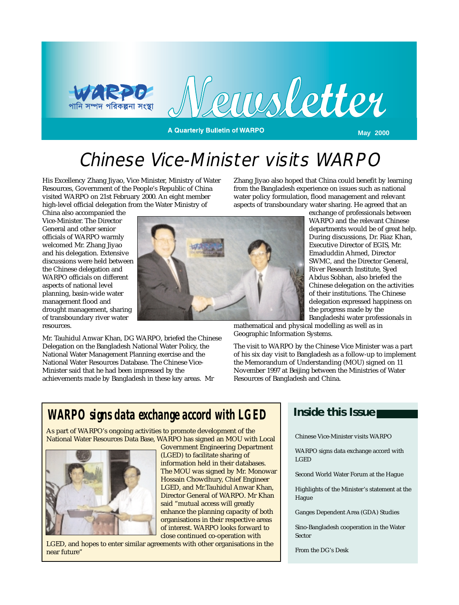

# Chinese Vice-Minister visits WARPO

His Excellency Zhang Jiyao, Vice Minister, Ministry of Water Resources, Government of the People's Republic of China visited WARPO on 21st February 2000. An eight member high-level official delegation from the Water Ministry of

Mr. Tauhidul Anwar Khan, DG WARPO, briefed the Chinese Delegation on the Bangladesh National Water Policy, the National Water Management Planning exercise and the National Water Resources Database. The Chinese Vice-Minister said that he had been impressed by the

achievements made by Bangladesh in these key areas. Mr

China also accompanied the Vice-Minister. The Director General and other senior officials of WARPO warmly welcomed Mr. Zhang Jiyao and his delegation. Extensive discussions were held between the Chinese delegation and WARPO officials on different aspects of national level planning, basin-wide water management flood and drought management, sharing of transboundary river water resources.

Zhang Jiyao also hoped that China could benefit by learning from the Bangladesh experience on issues such as national water policy formulation, flood management and relevant aspects of transboundary water sharing. He agreed that an

exchange of professionals between WARPO and the relevant Chinese departments would be of great help. During discussions, Dr. Riaz Khan, Executive Director of EGIS, Mr. Emaduddin Ahmed, Director SWMC, and the Director General, River Research Institute, Syed Abdus Sobhan, also briefed the Chinese delegation on the activities of their institutions. The Chinese delegation expressed happiness on the progress made by the Bangladeshi water professionals in

mathematical and physical modelling as well as in Geographic Information Systems.

The visit to WARPO by the Chinese Vice Minister was a part of his six day visit to Bangladesh as a follow-up to implement the Memorandum of Understanding (MOU) signed on 11 November 1997 at Beijing between the Ministries of Water Resources of Bangladesh and China.

## *WARPO signs data exchange accord with LGED*

As part of WARPO's ongoing activities to promote development of the National Water Resources Data Base, WARPO has signed an MOU with Local



Government Engineering Department (LGED) to facilitate sharing of information held in their databases. The MOU was signed by Mr. Monowar Hossain Chowdhury, Chief Engineer LGED, and Mr.Tauhidul Anwar Khan, Director General of WARPO. Mr Khan said "mutual access will greatly enhance the planning capacity of both organisations in their respective areas of interest. WARPO looks forward to close continued co-operation with

LGED, and hopes to enter similar agreements with other organisations in the near future"

### **Inside this Issue**

Chinese Vice-Minister visits WARPO

WARPO signs data exchange accord with LGED

Second World Water Forum at the Hague

Highlights of the Minister's statement at the Hague

Ganges Dependent Area (GDA) Studies

Sino-Bangladesh cooperation in the Water Sector

From the DG's Desk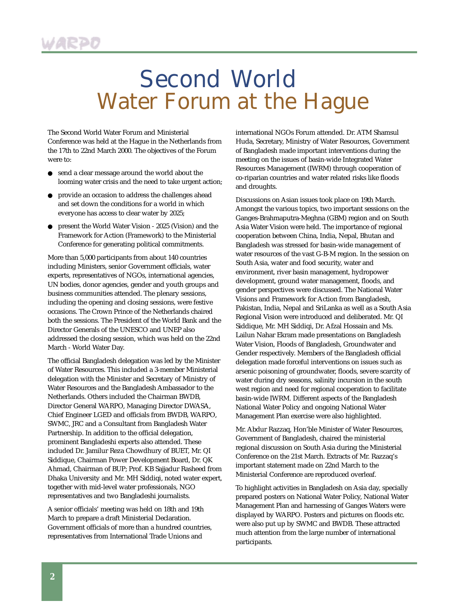# Second World Water Forum at the Hague

The Second World Water Forum and Ministerial Conference was held at the Hague in the Netherlands from the 17th to 22nd March 2000. The objectives of the Forum were to:

- send a clear message around the world about the looming water crisis and the need to take urgent action;
- provide an occasion to address the challenges ahead and set down the conditions for a world in which everyone has access to clear water by 2025;
- present the World Water Vision 2025 (Vision) and the Framework for Action (Framework) to the Ministerial Conference for generating political commitments.

More than 5,000 participants from about 140 countries including Ministers, senior Government officials, water experts, representatives of NGOs, international agencies, UN bodies, donor agencies, gender and youth groups and business communities attended. The plenary sessions, including the opening and closing sessions, were festive occasions. The Crown Prince of the Netherlands chaired both the sessions. The President of the World Bank and the Director Generals of the UNESCO and UNEP also addressed the closing session, which was held on the 22nd March - World Water Day.

The official Bangladesh delegation was led by the Minister of Water Resources. This included a 3-member Ministerial delegation with the Minister and Secretary of Ministry of Water Resources and the Bangladesh Ambassador to the Netherlands. Others included the Chairman BWDB, Director General WARPO, Managing Director DWASA, Chief Engineer LGED and officials from BWDB, WARPO, SWMC, JRC and a Consultant from Bangladesh Water Partnership. In addition to the official delegation, prominent Bangladeshi experts also attended. These included Dr. Jamilur Reza Chowdhury of BUET, Mr. QI Siddique, Chairman Power Development Board, Dr. QK Ahmad, Chairman of BUP; Prof. KB Sajjadur Rasheed from Dhaka University and Mr. MH Siddiqi, noted water expert, together with mid-level water professionals, NGO representatives and two Bangladeshi journalists.

A senior officials' meeting was held on 18th and 19th March to prepare a draft Ministerial Declaration. Government officials of more than a hundred countries, representatives from International Trade Unions and

international NGOs Forum attended. Dr. ATM Shamsul Huda, Secretary, Ministry of Water Resources, Government of Bangladesh made important interventions during the meeting on the issues of basin-wide Integrated Water Resources Management (IWRM) through cooperation of co-riparian countries and water related risks like floods and droughts.

Discussions on Asian issues took place on 19th March. Amongst the various topics, two important sessions on the Ganges-Brahmaputra-Meghna (GBM) region and on South Asia Water Vision were held. The importance of regional cooperation between China, India, Nepal, Bhutan and Bangladesh was stressed for basin-wide management of water resources of the vast G-B-M region. In the session on South Asia, water and food security, water and environment, river basin management, hydropower development, ground water management, floods, and gender perspectives were discussed. The National Water Visions and Framework for Action from Bangladesh, Pakistan, India, Nepal and SriLanka as well as a South Asia Regional Vision were introduced and deliberated. Mr. QI Siddique, Mr. MH Siddiqi, Dr. Afzal Hossain and Ms. Lailun Nahar Ekram made presentations on Bangladesh Water Vision, Floods of Bangladesh, Groundwater and Gender respectively. Members of the Bangladesh official delegation made forceful interventions on issues such as arsenic poisoning of groundwater, floods, severe scarcity of water during dry seasons, salinity incursion in the south west region and need for regional cooperation to facilitate basin-wide IWRM. Different aspects of the Bangladesh National Water Policy and ongoing National Water Management Plan exercise were also highlighted.

Mr. Abdur Razzaq, Hon'ble Minister of Water Resources, Government of Bangladesh, chaired the ministerial regional discussion on South Asia during the Ministerial Conference on the 21st March. Extracts of Mr. Razzaq's important statement made on 22nd March to the Ministerial Conference are reproduced overleaf.

To highlight activities in Bangladesh on Asia day, specially prepared posters on National Water Policy, National Water Management Plan and harnessing of Ganges Waters were displayed by WARPO. Posters and pictures on floods etc. were also put up by SWMC and BWDB. These attracted much attention from the large number of international participants.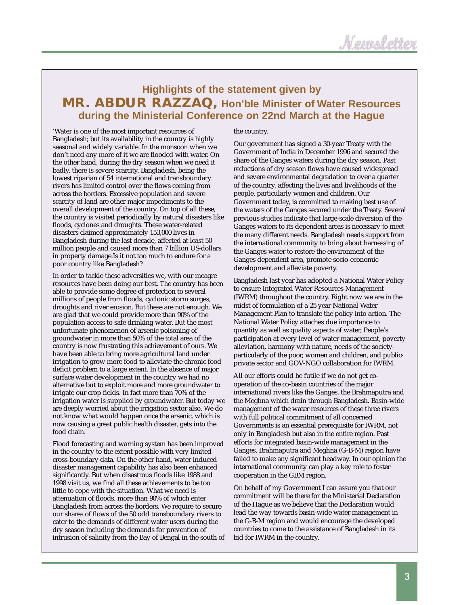## **Highlights of the statement given by MR. ABDUR RAZZAQ, Hon'ble Minister of Water Resources during the Ministerial Conference on 22nd March at the Hague**

'Water is one of the most important resources of Bangladesh; but its availability in the country is highly seasonal and widely variable. In the monsoon when we don't need any more of it we are flooded with water. On the other hand, during the dry season when we need it badly, there is severe scarcity. Bangladesh, being the lowest riparian of 54 international and transboundary rivers has limited control over the flows coming from across the borders. Excessive population and severe scarcity of land are other major impediments to the overall development of the country. On top of all these, the country is visited periodically by natural disasters like floods, cyclones and droughts. These water-related disasters claimed approximately 153,000 lives in Bangladesh during the last decade, affected at least 50 million people and caused more than 7 billion US-dollars in property damage.Is it not too much to endure for a poor country like Bangladesh?

In order to tackle these adversities we, with our meagre resources have been doing our best. The country has been able to provide some degree of protection to several millions of people from floods, cyclonic storm surges, droughts and river erosion. But these are not enough. We are glad that we could provide more than 90% of the population access to safe drinking water. But the most unfortunate phenomenon of arsenic poisoning of groundwater in more than 50% of the total area of the country is now frustrating this achievement of ours. We have been able to bring more agricultural land under irrigation to grow more food to alleviate the chronic food deficit problem to a large extent. In the absence of major surface water development in the country we had no alternative but to exploit more and more groundwater to irrigate our crop fields. In fact more than 70% of the irrigation water is supplied by groundwater. But today we are deeply worried about the irrigation sector also. We do not know what would happen once the arsenic, which is now causing a great public health disaster, gets into the food chain.

Flood forecasting and warning system has been improved in the country to the extent possible with very limited cross-boundary data. On the other hand, water induced disaster management capability has also been enhanced significantly. But when disastrous floods like 1988 and 1998 visit us, we find all these achievements to be too little to cope with the situation. What we need is attenuation of floods, more than 90% of which enter Bangladesh from across the borders. We require to secure our shares of flows of the 50 odd transboundary rivers to cater to the demands of different water users during the dry season including the demands for prevention of intrusion of salinity from the Bay of Bengal in the south of

#### the country.

Our government has signed a 30-year Treaty with the Government of India in December 1996 and secured the share of the Ganges waters during the dry season. Past reductions of dry season flows have caused widespread and severe environmental degradation to over a quarter of the country, affecting the lives and livelihoods of the people, particularly women and children. Our Government today, is committed to making best use of the waters of the Ganges secured under the Treaty. Several previous studies indicate that large-scale diversion of the Ganges waters to its dependent areas is necessary to meet the many different needs. Bangladesh needs support from the international community to bring about harnessing of the Ganges water to restore the environment of the Ganges dependent area, promote socio-economic development and alleviate poverty.

Bangladesh last year has adopted a National Water Policy to ensure Integrated Water Resources Management (IWRM) throughout the country. Right now we are in the midst of formulation of a 25 year National Water Management Plan to translate the policy into action. The National Water Policy attaches due importance to quantity as well as quality aspects of water, People's participation at every level of water management, poverty alleviation, harmony with nature, needs of the societyparticularly of the poor, women and children, and publicprivate sector and GOV-NGO collaboration for IWRM.

All our efforts could be futile if we do not get cooperation of the co-basin countries of the major international rivers like the Ganges, the Brahmaputra and the Meghna which drain through Bangladesh. Basin-wide management of the water resources of these three rivers with full political commitment of all concerned Governments is an essential prerequisite for IWRM, not only in Bangladesh but also in the entire region. Past efforts for integrated basin-wide management in the Ganges, Brahmaputra and Meghna (G-B-M) region have failed to make any significant headway. In our opinion the international community can play a key role to foster cooperation in the GBM region.

On behalf of my Government I can assure you that our commitment will be there for the Ministerial Declaration of the Hague as we believe that the Declaration would lead the way towards basin-wide water management in the G-B-M region and would encourage the developed countries to come to the assistance of Bangladesh in its bid for IWRM in the country.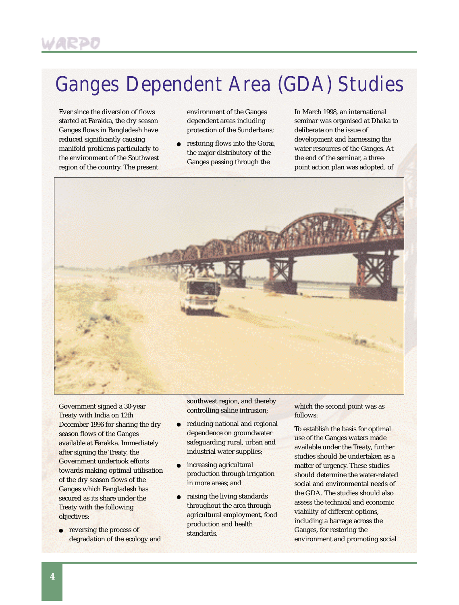# Ganges Dependent Area (GDA) Studies

Ever since the diversion of flows started at Farakka, the dry season Ganges flows in Bangladesh have reduced significantly causing manifold problems particularly to the environment of the Southwest region of the country. The present environment of the Ganges dependent areas including protection of the Sunderbans;

restoring flows into the Gorai, the major distributory of the Ganges passing through the

In March 1998, an international seminar was organised at Dhaka to deliberate on the issue of development and harnessing the water resources of the Ganges. At the end of the seminar, a threepoint action plan was adopted, of



Government signed a 30-year Treaty with India on 12th December 1996 for sharing the dry season flows of the Ganges available at Farakka. Immediately after signing the Treaty, the Government undertook efforts towards making optimal utilisation of the dry season flows of the Ganges which Bangladesh has secured as its share under the Treaty with the following objectives:

● reversing the process of degradation of the ecology and southwest region, and thereby controlling saline intrusion;

- reducing national and regional dependence on groundwater safeguarding rural, urban and industrial water supplies;
- increasing agricultural production through irrigation in more areas; and
- raising the living standards throughout the area through agricultural employment, food production and health standards.

which the second point was as follows:

To establish the basis for optimal use of the Ganges waters made available under the Treaty, further studies should be undertaken as a matter of urgency. These studies should determine the water-related social and environmental needs of the GDA. The studies should also assess the technical and economic viability of different options, including a barrage across the Ganges, for restoring the environment and promoting social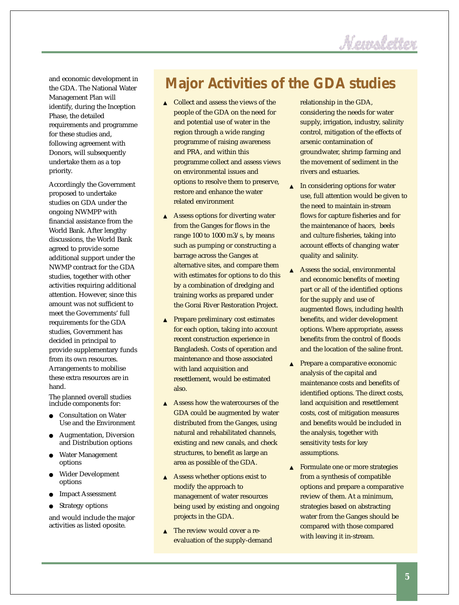

and economic development in the GDA. The National Water Management Plan will identify, during the Inception Phase, the detailed requirements and programme for these studies and, following agreement with Donors, will subsequently undertake them as a top priority.

Accordingly the Government proposed to undertake studies on GDA under the ongoing NWMPP with financial assistance from the World Bank. After lengthy discussions, the World Bank agreed to provide some additional support under the NWMP contract for the GDA studies, together with other activities requiring additional attention. However, since this amount was not sufficient to meet the Governments' full requirements for the GDA studies, Government has decided in principal to provide supplementary funds from its own resources. Arrangements to mobilise these extra resources are in hand.

The planned overall studies include components for:

- Consultation on Water Use and the Environment
- Augmentation, Diversion and Distribution options
- Water Management options
- Wider Development options
- **Impact Assessment**
- Strategy options

and would include the major activities as listed oposite.

## **Major Activities of the GDA studies**

- ▲ Collect and assess the views of the people of the GDA on the need for and potential use of water in the region through a wide ranging programme of raising awareness and PRA, and within this programme collect and assess views on environmental issues and options to resolve them to preserve, restore and enhance the water related environment
- ▲ Assess options for diverting water from the Ganges for flows in the range 100 to 1000 m3/s, by means such as pumping or constructing a barrage across the Ganges at alternative sites, and compare them with estimates for options to do this by a combination of dredging and training works as prepared under the Gorai River Restoration Project.
- ▲ Prepare preliminary cost estimates for each option, taking into account recent construction experience in Bangladesh. Costs of operation and maintenance and those associated with land acquisition and resettlement, would be estimated also.
- ▲ Assess how the watercourses of the GDA could be augmented by water distributed from the Ganges, using natural and rehabilitated channels, existing and new canals, and check structures, to benefit as large an area as possible of the GDA.
- ▲ Assess whether options exist to modify the approach to management of water resources being used by existing and ongoing projects in the GDA.
- ▲ The review would cover a reevaluation of the supply-demand

relationship in the GDA, considering the needs for water supply, irrigation, industry, salinity control, mitigation of the effects of arsenic contamination of groundwater, shrimp farming and the movement of sediment in the rivers and estuaries.

- $\triangle$  In considering options for water use, full attention would be given to the need to maintain in-stream flows for capture fisheries and for the maintenance of haors, beels and culture fisheries, taking into account effects of changing water quality and salinity.
- ▲ Assess the social, environmental and economic benefits of meeting part or all of the identified options for the supply and use of augmented flows, including health benefits, and wider development options. Where appropriate, assess benefits from the control of floods and the location of the saline front.
- ▲ Prepare a comparative economic analysis of the capital and maintenance costs and benefits of identified options. The direct costs, land acquisition and resettlement costs, cost of mitigation measures and benefits would be included in the analysis, together with sensitivity tests for key assumptions.
- ▲ Formulate one or more strategies from a synthesis of compatible options and prepare a comparative review of them. At a minimum, strategies based on abstracting water from the Ganges should be compared with those compared with leaving it in-stream.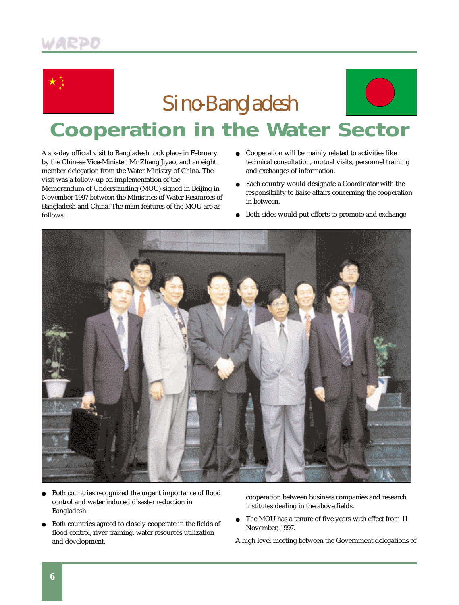



**Cooperation in the Water Sector**

A six-day official visit to Bangladesh took place in February by the Chinese Vice-Minister, Mr Zhang Jiyao, and an eight member delegation from the Water Ministry of China. The visit was a follow-up on implementation of the Memorandum of Understanding (MOU) signed in Beijing in November 1997 between the Ministries of Water Resources of Bangladesh and China. The main features of the MOU are as follows:

- Cooperation will be mainly related to activities like technical consultation, mutual visits, personnel training and exchanges of information.
- Each country would designate a Coordinator with the responsibility to liaise affairs concerning the cooperation in between.
- Both sides would put efforts to promote and exchange



- Both countries recognized the urgent importance of flood control and water induced disaster reduction in Bangladesh.
- Both countries agreed to closely cooperate in the fields of flood control, river training, water resources utilization and development.

cooperation between business companies and research institutes dealing in the above fields.

- The MOU has a tenure of five years with effect from 11 November, 1997.
- A high level meeting between the Government delegations of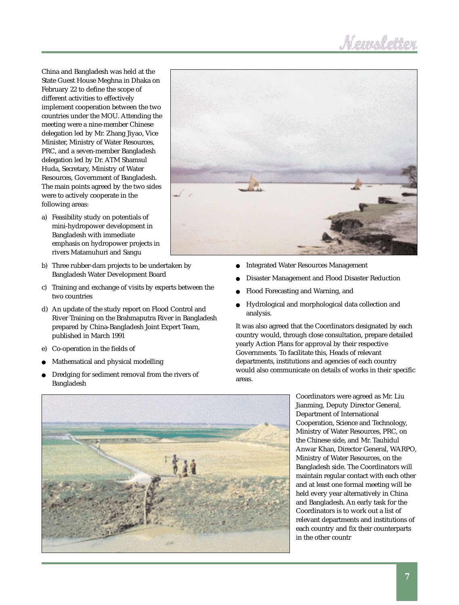# Memoletter

China and Bangladesh was held at the State Guest House Meghna in Dhaka on February 22 to define the scope of different activities to effectively implement cooperation between the two countries under the MOU. Attending the meeting were a nine-member Chinese delegation led by Mr. Zhang Jiyao, Vice Minister, Ministry of Water Resources, PRC, and a seven-member Bangladesh delegation led by Dr. ATM Shamsul Huda, Secretary, Ministry of Water Resources, Government of Bangladesh. The main points agreed by the two sides were to actively cooperate in the following areas:

- a) Feasibility study on potentials of mini-hydropower development in Bangladesh with immediate emphasis on hydropower projects in rivers Matamuhuri and Sangu
- b) Three rubber-dam projects to be undertaken by Bangladesh Water Development Board
- c) Training and exchange of visits by experts between the two countries
- d) An update of the study report on Flood Control and River Training on the Brahmaputra River in Bangladesh prepared by China-Bangladesh Joint Expert Team, published in March 1991
- e) Co-operation in the fields of
- Mathematical and physical modelling
- Dredging for sediment removal from the rivers of Bangladesh



- Integrated Water Resources Management
- Disaster Management and Flood Disaster Reduction
- Flood Forecasting and Warning, and
- Hydrological and morphological data collection and analysis.

It was also agreed that the Coordinators designated by each country would, through close consultation, prepare detailed yearly Action Plans for approval by their respective Governments. To facilitate this, Heads of relevant departments, institutions and agencies of each country would also communicate on details of works in their specific areas.



Coordinators were agreed as Mr. Liu Jianming, Deputy Director General, Department of International Cooperation, Science and Technology, Ministry of Water Resources, PRC, on the Chinese side, and Mr. Tauhidul Anwar Khan, Director General, WARPO, Ministry of Water Resources, on the Bangladesh side. The Coordinators will maintain regular contact with each other and at least one formal meeting will be held every year alternatively in China and Bangladesh. An early task for the Coordinators is to work out a list of relevant departments and institutions of each country and fix their counterparts in the other countr